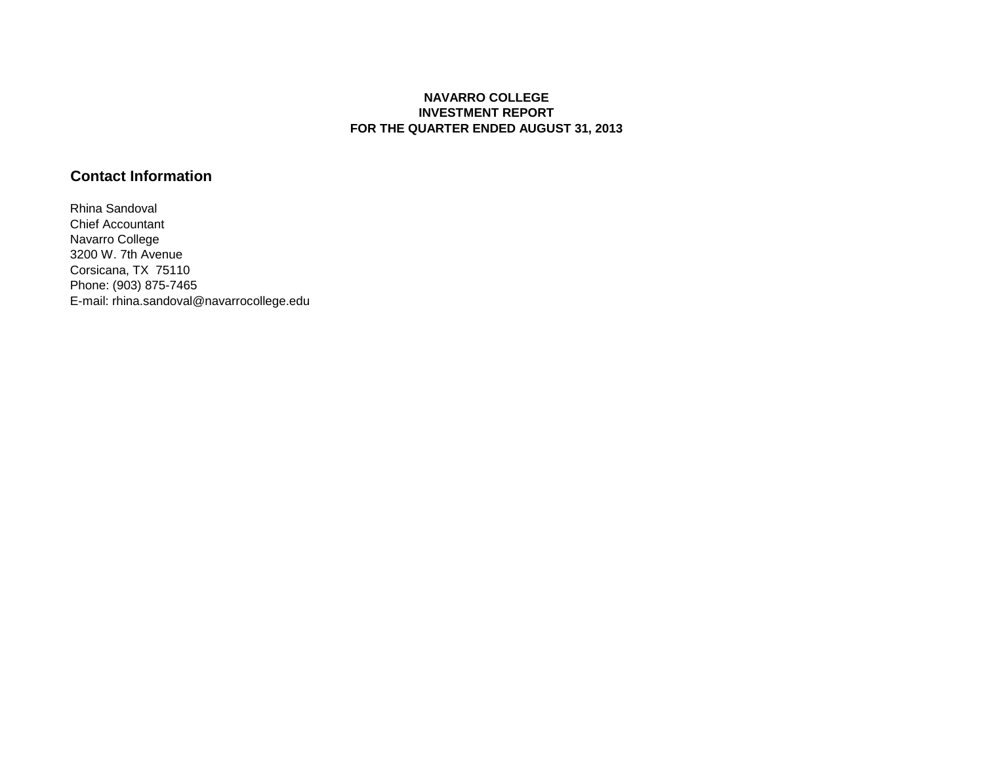## **NAVARRO COLLEGE INVESTMENT REPORT FOR THE QUARTER ENDED AUGUST 31, 2013**

## **Contact Information**

Rhina Sandoval Chief Accountant Navarro College 3200 W. 7th Avenue Corsicana, TX 75110 Phone: (903) 875-7465 E-mail: rhina.sandoval@navarrocollege.edu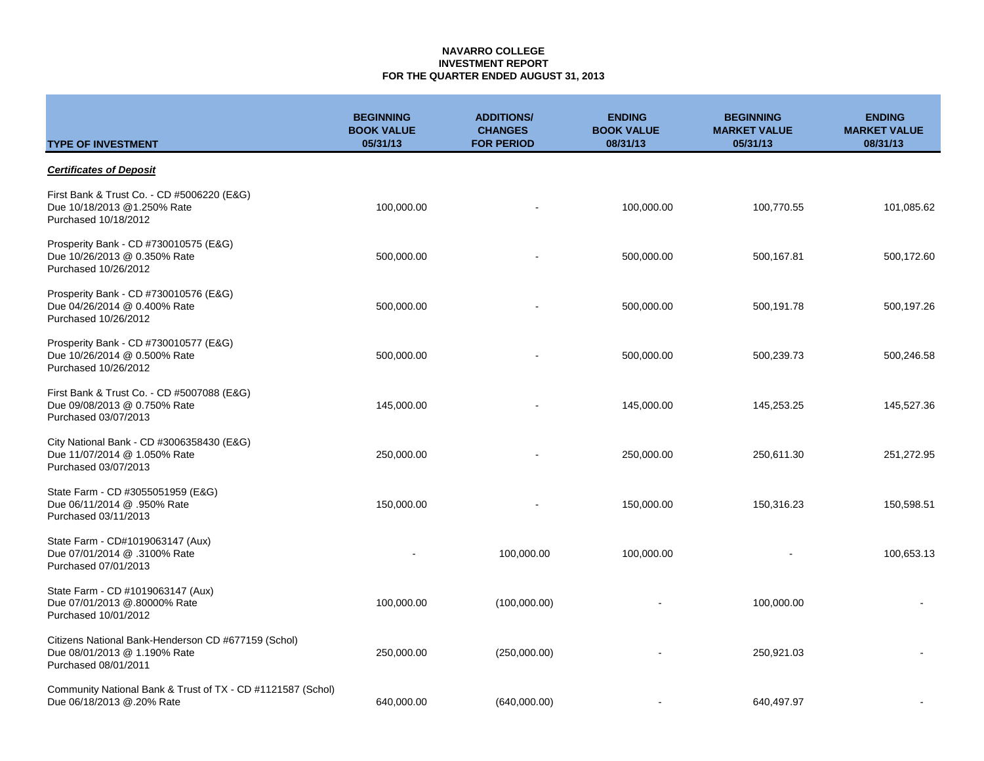#### **NAVARRO COLLEGE INVESTMENT REPORT FOR THE QUARTER ENDED AUGUST 31, 2013**

| <b>TYPE OF INVESTMENT</b>                                                                                   | <b>BEGINNING</b><br><b>BOOK VALUE</b><br>05/31/13 | <b>ADDITIONS/</b><br><b>CHANGES</b><br><b>FOR PERIOD</b> | <b>ENDING</b><br><b>BOOK VALUE</b><br>08/31/13 | <b>BEGINNING</b><br><b>MARKET VALUE</b><br>05/31/13 | <b>ENDING</b><br><b>MARKET VALUE</b><br>08/31/13 |
|-------------------------------------------------------------------------------------------------------------|---------------------------------------------------|----------------------------------------------------------|------------------------------------------------|-----------------------------------------------------|--------------------------------------------------|
| <b>Certificates of Deposit</b>                                                                              |                                                   |                                                          |                                                |                                                     |                                                  |
| First Bank & Trust Co. - CD #5006220 (E&G)<br>Due 10/18/2013 @1.250% Rate<br>Purchased 10/18/2012           | 100,000.00                                        |                                                          | 100,000.00                                     | 100,770.55                                          | 101,085.62                                       |
| Prosperity Bank - CD #730010575 (E&G)<br>Due 10/26/2013 @ 0.350% Rate<br>Purchased 10/26/2012               | 500,000.00                                        |                                                          | 500,000.00                                     | 500,167.81                                          | 500,172.60                                       |
| Prosperity Bank - CD #730010576 (E&G)<br>Due 04/26/2014 @ 0.400% Rate<br>Purchased 10/26/2012               | 500,000.00                                        |                                                          | 500,000.00                                     | 500,191.78                                          | 500,197.26                                       |
| Prosperity Bank - CD #730010577 (E&G)<br>Due 10/26/2014 @ 0.500% Rate<br>Purchased 10/26/2012               | 500,000.00                                        |                                                          | 500,000.00                                     | 500,239.73                                          | 500,246.58                                       |
| First Bank & Trust Co. - CD #5007088 (E&G)<br>Due 09/08/2013 @ 0.750% Rate<br>Purchased 03/07/2013          | 145,000.00                                        |                                                          | 145,000.00                                     | 145,253.25                                          | 145,527.36                                       |
| City National Bank - CD #3006358430 (E&G)<br>Due 11/07/2014 @ 1.050% Rate<br>Purchased 03/07/2013           | 250,000.00                                        |                                                          | 250,000.00                                     | 250,611.30                                          | 251,272.95                                       |
| State Farm - CD #3055051959 (E&G)<br>Due 06/11/2014 @ .950% Rate<br>Purchased 03/11/2013                    | 150,000.00                                        |                                                          | 150,000.00                                     | 150,316.23                                          | 150,598.51                                       |
| State Farm - CD#1019063147 (Aux)<br>Due 07/01/2014 @ .3100% Rate<br>Purchased 07/01/2013                    |                                                   | 100,000.00                                               | 100,000.00                                     |                                                     | 100,653.13                                       |
| State Farm - CD #1019063147 (Aux)<br>Due 07/01/2013 @.80000% Rate<br>Purchased 10/01/2012                   | 100,000.00                                        | (100,000.00)                                             |                                                | 100,000.00                                          |                                                  |
| Citizens National Bank-Henderson CD #677159 (Schol)<br>Due 08/01/2013 @ 1.190% Rate<br>Purchased 08/01/2011 | 250,000.00                                        | (250,000.00)                                             |                                                | 250,921.03                                          |                                                  |
| Community National Bank & Trust of TX - CD #1121587 (Schol)<br>Due 06/18/2013 @.20% Rate                    | 640,000.00                                        | (640,000.00)                                             |                                                | 640,497.97                                          |                                                  |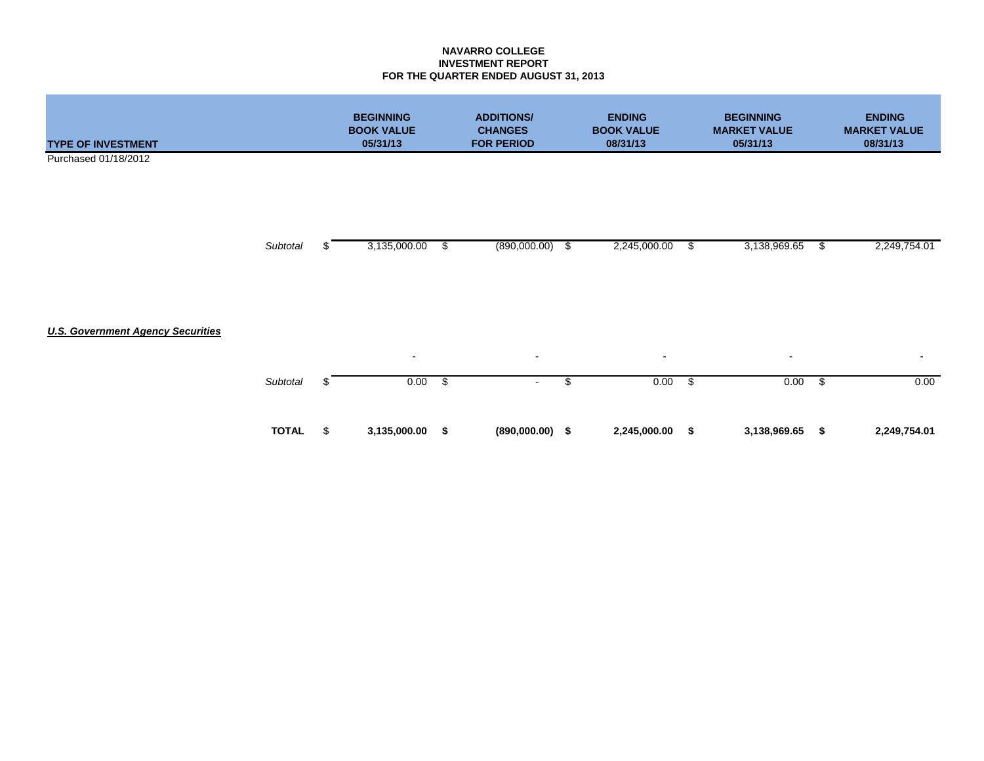### **NAVARRO COLLEGE INVESTMENT REPORT FOR THE QUARTER ENDED AUGUST 31, 2013**

| <b>TYPE OF INVESTMENT</b>                |              |    | <b>BEGINNING</b><br><b>BOOK VALUE</b><br>05/31/13 |    | <b>ADDITIONS/</b><br><b>CHANGES</b><br><b>FOR PERIOD</b> |      | <b>ENDING</b><br><b>BOOK VALUE</b><br>08/31/13 |                         | <b>BEGINNING</b><br><b>MARKET VALUE</b><br>05/31/13 |               | <b>ENDING</b><br><b>MARKET VALUE</b><br>08/31/13 |
|------------------------------------------|--------------|----|---------------------------------------------------|----|----------------------------------------------------------|------|------------------------------------------------|-------------------------|-----------------------------------------------------|---------------|--------------------------------------------------|
| Purchased 01/18/2012                     |              |    |                                                   |    |                                                          |      |                                                |                         |                                                     |               |                                                  |
|                                          |              |    |                                                   |    |                                                          |      |                                                |                         |                                                     |               |                                                  |
|                                          |              |    |                                                   |    |                                                          |      |                                                |                         |                                                     |               |                                                  |
|                                          | Subtotal     | £. | 3,135,000.00                                      | S  | (890,000.00)                                             | - \$ | 2,245,000.00                                   | - \$                    | 3,138,969.65                                        | \$            | 2,249,754.01                                     |
|                                          |              |    |                                                   |    |                                                          |      |                                                |                         |                                                     |               |                                                  |
|                                          |              |    |                                                   |    |                                                          |      |                                                |                         |                                                     |               |                                                  |
|                                          |              |    |                                                   |    |                                                          |      |                                                |                         |                                                     |               |                                                  |
| <b>U.S. Government Agency Securities</b> |              |    |                                                   |    |                                                          |      |                                                |                         |                                                     |               |                                                  |
|                                          |              |    | $\blacksquare$                                    |    | $\sim$                                                   |      | $\blacksquare$                                 |                         | $\sim$                                              |               | $\sim$                                           |
|                                          | Subtotal     | -S | 0.00                                              | \$ | $\sim$                                                   | \$   | 0.00                                           | $\overline{\mathbf{s}}$ | 0.00                                                | $\frac{1}{2}$ | 0.00                                             |
|                                          |              |    |                                                   |    |                                                          |      |                                                |                         |                                                     |               |                                                  |
|                                          | <b>TOTAL</b> | \$ | 3,135,000.00                                      | \$ | $(890,000.00)$ \$                                        |      | 2,245,000.00                                   | \$                      | 3,138,969.65                                        | \$            | 2,249,754.01                                     |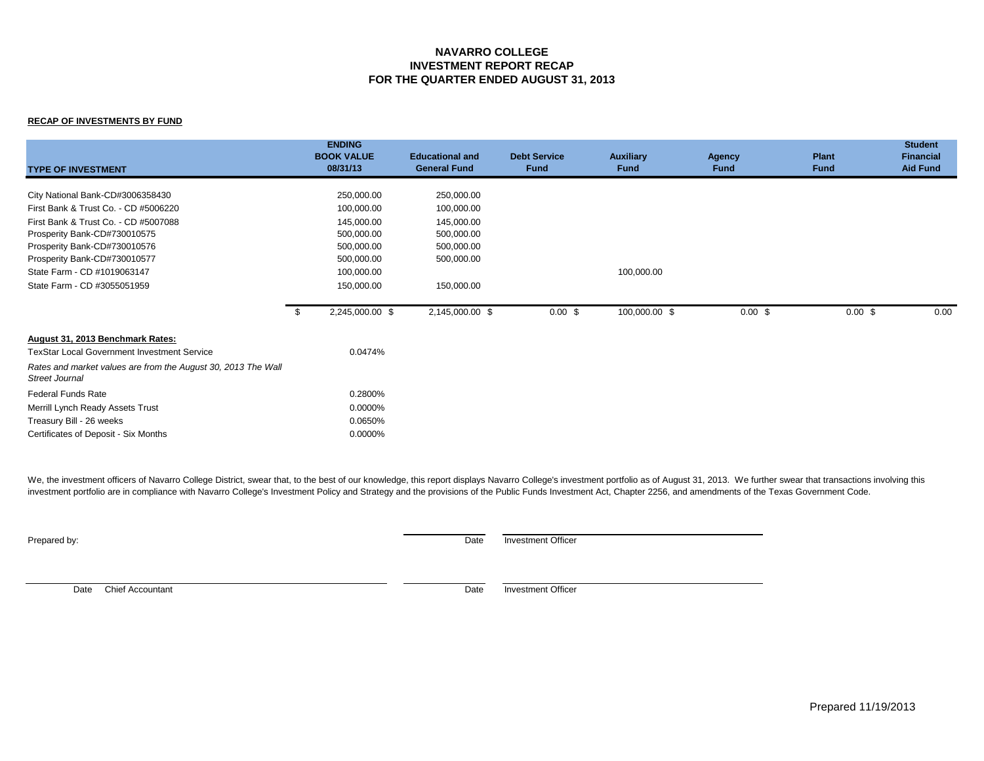### **NAVARRO COLLEGE INVESTMENT REPORT RECAP FOR THE QUARTER ENDED AUGUST 31, 2013**

#### **RECAP OF INVESTMENTS BY FUND**

| <b>TYPE OF INVESTMENT</b>                                                              | <b>ENDING</b><br><b>BOOK VALUE</b><br>08/31/13 | <b>Educational and</b><br><b>General Fund</b> | <b>Debt Service</b><br><b>Fund</b> | <b>Auxiliary</b><br>Fund | <b>Agency</b><br>Fund | <b>Plant</b><br><b>Fund</b> | <b>Student</b><br><b>Financial</b><br><b>Aid Fund</b> |
|----------------------------------------------------------------------------------------|------------------------------------------------|-----------------------------------------------|------------------------------------|--------------------------|-----------------------|-----------------------------|-------------------------------------------------------|
| City National Bank-CD#3006358430                                                       | 250,000.00                                     | 250,000.00                                    |                                    |                          |                       |                             |                                                       |
| First Bank & Trust Co. - CD #5006220                                                   | 100,000.00                                     | 100,000.00                                    |                                    |                          |                       |                             |                                                       |
| First Bank & Trust Co. - CD #5007088                                                   | 145,000.00                                     | 145,000.00                                    |                                    |                          |                       |                             |                                                       |
| Prosperity Bank-CD#730010575                                                           | 500,000.00                                     | 500,000.00                                    |                                    |                          |                       |                             |                                                       |
| Prosperity Bank-CD#730010576                                                           | 500,000.00                                     | 500,000.00                                    |                                    |                          |                       |                             |                                                       |
| Prosperity Bank-CD#730010577                                                           | 500,000.00                                     | 500,000.00                                    |                                    |                          |                       |                             |                                                       |
| State Farm - CD #1019063147                                                            | 100,000.00                                     |                                               |                                    | 100,000.00               |                       |                             |                                                       |
| State Farm - CD #3055051959                                                            | 150,000.00                                     | 150,000.00                                    |                                    |                          |                       |                             |                                                       |
|                                                                                        | 2,245,000.00 \$<br>- \$                        | 2,145,000.00 \$                               | $0.00$ \$                          | 100,000.00 \$            | $0.00$ \$             | $0.00 \text{ }$ \$          | 0.00                                                  |
| August 31, 2013 Benchmark Rates:                                                       |                                                |                                               |                                    |                          |                       |                             |                                                       |
| <b>TexStar Local Government Investment Service</b>                                     | 0.0474%                                        |                                               |                                    |                          |                       |                             |                                                       |
| Rates and market values are from the August 30, 2013 The Wall<br><b>Street Journal</b> |                                                |                                               |                                    |                          |                       |                             |                                                       |
| Federal Funds Rate                                                                     | 0.2800%                                        |                                               |                                    |                          |                       |                             |                                                       |
| Merrill Lynch Ready Assets Trust                                                       | 0.0000%                                        |                                               |                                    |                          |                       |                             |                                                       |
| Treasury Bill - 26 weeks                                                               | 0.0650%                                        |                                               |                                    |                          |                       |                             |                                                       |
| Certificates of Deposit - Six Months                                                   | 0.0000%                                        |                                               |                                    |                          |                       |                             |                                                       |

We, the investment officers of Navarro College District, swear that, to the best of our knowledge, this report displays Navarro College's investment portfolio as of August 31, 2013. We further swear that transactions invol investment portfolio are in compliance with Navarro College's Investment Policy and Strategy and the provisions of the Public Funds Investment Act, Chapter 2256, and amendments of the Texas Government Code.

Prepared by: Date Investment Officer

Date Chief Accountant **Date** Investment Officer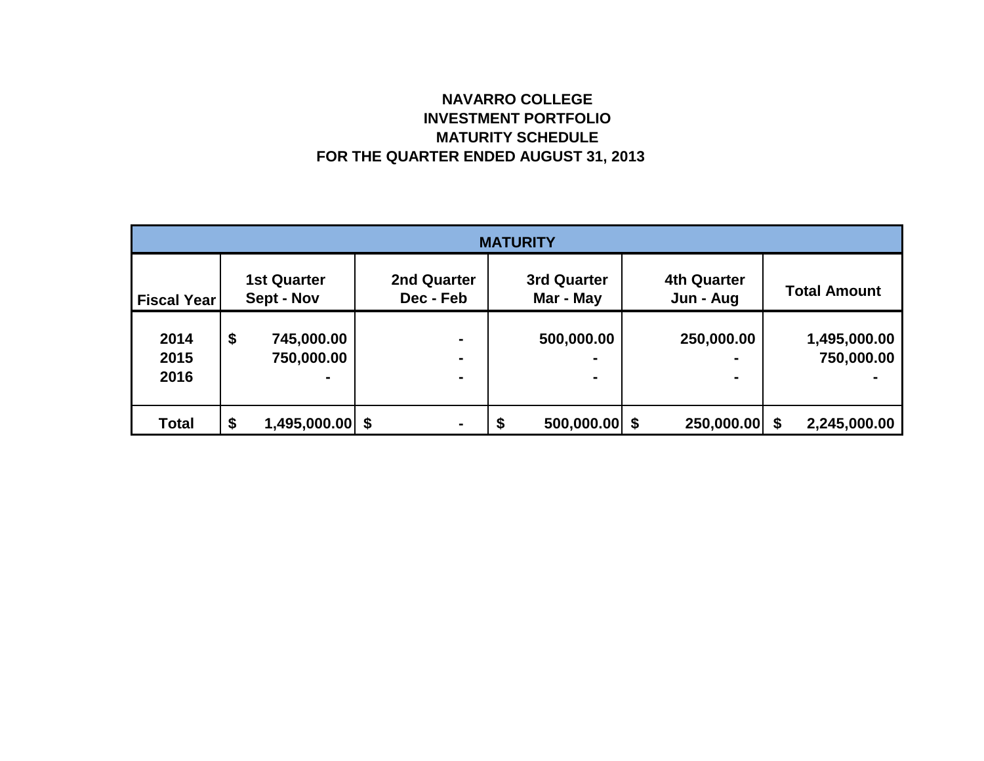# **NAVARRO COLLEGE INVESTMENT PORTFOLIO MATURITY SCHEDULE FOR THE QUARTER ENDED AUGUST 31, 2013**

| <b>MATURITY</b>    |    |                                  |                                 |    |                          |  |                                 |  |                     |  |  |
|--------------------|----|----------------------------------|---------------------------------|----|--------------------------|--|---------------------------------|--|---------------------|--|--|
| <b>Fiscal Year</b> |    | <b>1st Quarter</b><br>Sept - Nov | <b>2nd Quarter</b><br>Dec - Feb |    | 3rd Quarter<br>Mar - May |  | <b>4th Quarter</b><br>Jun - Aug |  | <b>Total Amount</b> |  |  |
|                    |    |                                  |                                 |    |                          |  |                                 |  |                     |  |  |
| 2014               | \$ | 745,000.00                       | $\blacksquare$                  |    | 500,000.00               |  | 250,000.00                      |  | 1,495,000.00        |  |  |
| 2015               |    | 750,000.00                       | $\blacksquare$                  |    | -                        |  |                                 |  | 750,000.00          |  |  |
| 2016               |    |                                  | ۰                               |    |                          |  | $\blacksquare$                  |  |                     |  |  |
|                    |    |                                  |                                 |    |                          |  |                                 |  |                     |  |  |
| <b>Total</b>       | \$ | $1,495,000.00$ \$                | $\blacksquare$                  | \$ | $500,000.00$ \$          |  | 250,000.00 \$                   |  | 2,245,000.00        |  |  |